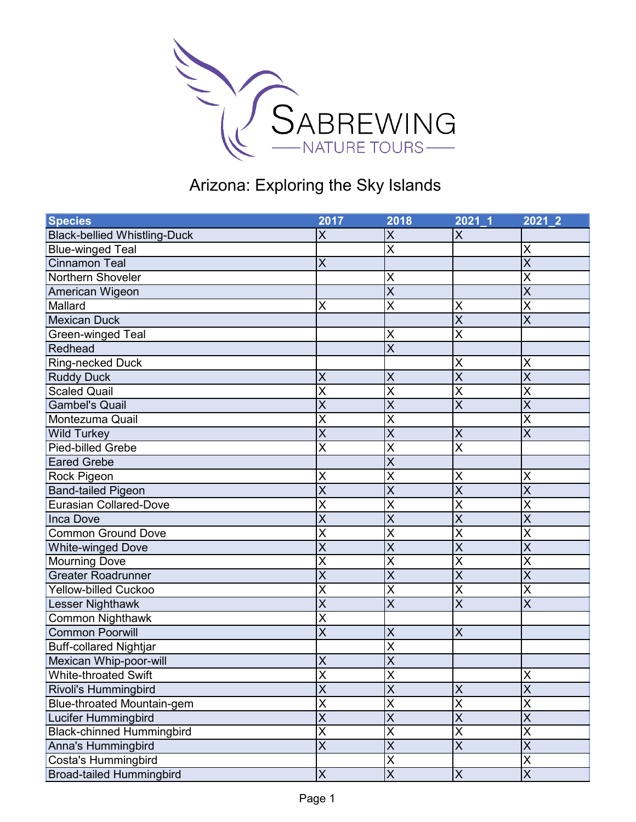

| <b>Species</b>                      | 2017                    | 2018                    | $2021 - 1$              | $2021$ 2                |
|-------------------------------------|-------------------------|-------------------------|-------------------------|-------------------------|
| <b>Black-bellied Whistling-Duck</b> | X                       | X                       | X                       |                         |
| <b>Blue-winged Teal</b>             |                         | X                       |                         | X                       |
| Cinnamon Teal                       | $\sf X$                 |                         |                         | $\overline{\mathsf{X}}$ |
| Northern Shoveler                   |                         | X                       |                         | $\overline{\mathsf{x}}$ |
| American Wigeon                     |                         | $\overline{\mathsf{x}}$ |                         | $\overline{\mathsf{x}}$ |
| Mallard                             | X                       | X                       | X                       | $\overline{\mathsf{x}}$ |
| <b>Mexican Duck</b>                 |                         |                         | $\overline{\mathsf{x}}$ | $\overline{\mathsf{x}}$ |
| Green-winged Teal                   |                         | X                       | X                       |                         |
| Redhead                             |                         | $\overline{\mathsf{x}}$ |                         |                         |
| <b>Ring-necked Duck</b>             |                         |                         | X                       | X                       |
| <b>Ruddy Duck</b>                   | X                       | X                       | $\sf X$                 | $\overline{\mathsf{X}}$ |
| <b>Scaled Quail</b>                 | $\overline{\mathsf{x}}$ | X                       | $\overline{\mathsf{x}}$ | $\overline{\mathsf{x}}$ |
| <b>Gambel's Quail</b>               | $\overline{\mathsf{x}}$ | $\overline{\mathsf{x}}$ | $\overline{\mathsf{x}}$ | $\overline{\mathsf{x}}$ |
| Montezuma Quail                     | X                       | X                       |                         | $\overline{\mathsf{x}}$ |
| <b>Wild Turkey</b>                  | $\overline{\mathsf{x}}$ | X                       | $\sf X$                 | $\overline{\mathsf{x}}$ |
| Pied-billed Grebe                   | $\overline{\mathsf{x}}$ | X                       | $\overline{\mathsf{x}}$ |                         |
| <b>Eared Grebe</b>                  |                         | $\overline{\mathsf{x}}$ |                         |                         |
| Rock Pigeon                         | X                       | X                       | X                       | X                       |
| <b>Band-tailed Pigeon</b>           | $\overline{X}$          | X                       | $\overline{\mathsf{X}}$ | $\overline{\mathsf{X}}$ |
| <b>Eurasian Collared-Dove</b>       | $\overline{\mathsf{x}}$ | $\overline{\mathsf{x}}$ | $\overline{\mathsf{x}}$ | $\overline{\mathsf{x}}$ |
| <b>Inca Dove</b>                    | $\overline{\mathsf{x}}$ | X                       | $\overline{\mathsf{x}}$ | $\overline{\mathsf{x}}$ |
| <b>Common Ground Dove</b>           | $\overline{\mathsf{x}}$ | X                       | X                       | $\overline{\mathsf{x}}$ |
| <b>White-winged Dove</b>            | $\overline{\mathsf{x}}$ | $\overline{\mathsf{x}}$ | $\overline{\mathsf{x}}$ | $\overline{\mathsf{x}}$ |
| <b>Mourning Dove</b>                | $\overline{\mathsf{x}}$ | X                       | X                       | $\overline{\mathsf{x}}$ |
| <b>Greater Roadrunner</b>           | $\overline{\mathsf{x}}$ | $\overline{\mathsf{x}}$ | $\overline{\mathsf{x}}$ | $\overline{\mathsf{x}}$ |
| <b>Yellow-billed Cuckoo</b>         | $\sf X$                 | X                       | X                       | $\overline{\mathsf{x}}$ |
| Lesser Nighthawk                    | $\overline{\mathsf{x}}$ | X                       | $\overline{\mathsf{x}}$ | $\overline{\mathsf{X}}$ |
| Common Nighthawk                    | X                       |                         |                         |                         |
| <b>Common Poorwill</b>              | $\overline{\mathsf{x}}$ | X                       | $\mathsf{X}$            |                         |
| <b>Buff-collared Nightjar</b>       |                         | X                       |                         |                         |
| Mexican Whip-poor-will              | $\pmb{\mathsf{X}}$      | X                       |                         |                         |
| <b>White-throated Swift</b>         | $\overline{\mathsf{x}}$ | $\mathsf{x}$<br>↗       |                         | X                       |
| Rivoli's Hummingbird                | $\overline{\mathsf{X}}$ | $\overline{\mathsf{X}}$ | $\overline{X}$          | $\overline{\mathsf{X}}$ |
| Blue-throated Mountain-gem          | $\overline{X}$          | X                       | $\pmb{\mathsf{X}}$      | $\overline{\mathsf{X}}$ |
| Lucifer Hummingbird                 | $\overline{\mathsf{X}}$ | X                       | $\overline{X}$          | $\overline{\mathsf{X}}$ |
| <b>Black-chinned Hummingbird</b>    | $\overline{\mathsf{X}}$ | $\overline{\mathsf{x}}$ | $\overline{\mathsf{X}}$ | $\overline{\mathsf{x}}$ |
| Anna's Hummingbird                  | $\overline{\mathsf{X}}$ | $\overline{\mathsf{x}}$ | $\overline{\mathsf{X}}$ | $\overline{\mathsf{X}}$ |
| Costa's Hummingbird                 |                         | X                       |                         | $\overline{\mathsf{x}}$ |
| <b>Broad-tailed Hummingbird</b>     | $\mathsf X$             | $\overline{X}$          | $\mathsf X$             | $\overline{X}$          |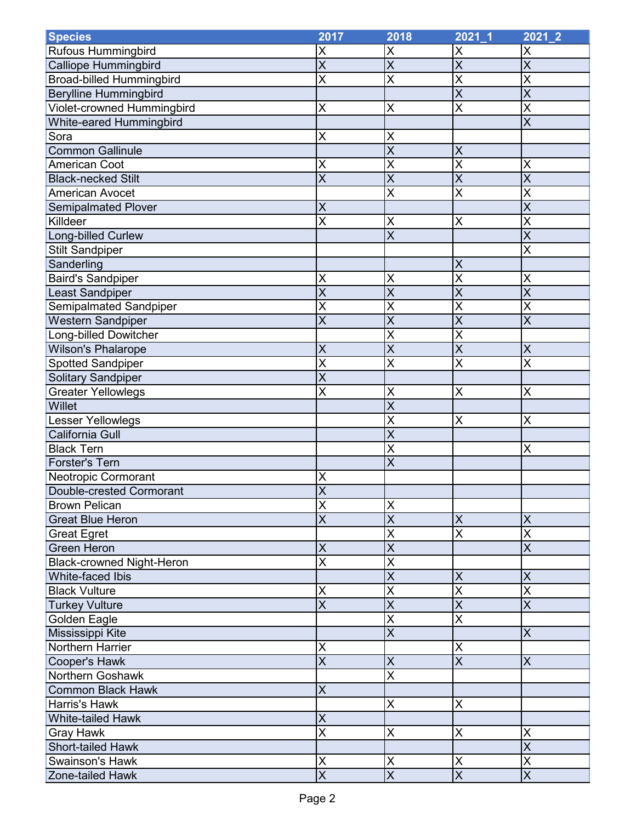| <b>Species</b>                   | 2017                    | 2018                    | $2021 - 1$              | $2021 - 2$              |
|----------------------------------|-------------------------|-------------------------|-------------------------|-------------------------|
| <b>Rufous Hummingbird</b>        | X                       | Χ                       | X                       | X                       |
| <b>Calliope Hummingbird</b>      | $\overline{\mathsf{x}}$ | $\overline{\mathsf{x}}$ | $\sf X$                 | $\overline{\mathsf{x}}$ |
| <b>Broad-billed Hummingbird</b>  | $\overline{\mathsf{x}}$ | X                       | X                       | $\overline{\mathsf{x}}$ |
| <b>Berylline Hummingbird</b>     |                         |                         | $\overline{\mathsf{X}}$ | $\overline{\mathsf{X}}$ |
| Violet-crowned Hummingbird       | X                       | Χ                       | $\overline{\mathsf{x}}$ | $\overline{\mathsf{x}}$ |
| White-eared Hummingbird          |                         |                         |                         | $\overline{\mathsf{x}}$ |
| Sora                             | X                       | X                       |                         |                         |
| <b>Common Gallinule</b>          |                         | X                       | $\sf X$                 |                         |
| <b>American Coot</b>             | $\sf X$                 | X                       | X                       | X                       |
| <b>Black-necked Stilt</b>        | $\overline{\mathsf{x}}$ | $\overline{\mathsf{x}}$ | $\overline{\mathsf{x}}$ | $\overline{\mathsf{x}}$ |
| <b>American Avocet</b>           |                         | X                       | $\overline{\mathsf{X}}$ | X                       |
| <b>Semipalmated Plover</b>       | $\sf X$                 |                         |                         | $\overline{\mathsf{x}}$ |
| Killdeer                         | $\overline{\mathsf{x}}$ | X                       | X                       | $\overline{\mathsf{x}}$ |
| Long-billed Curlew               |                         | $\overline{\mathsf{x}}$ |                         | $\overline{\mathsf{x}}$ |
| <b>Stilt Sandpiper</b>           |                         |                         |                         | $\overline{\mathsf{x}}$ |
| Sanderling                       |                         |                         | $\sf X$                 |                         |
| <b>Baird's Sandpiper</b>         | X                       | X                       | $\overline{\mathsf{X}}$ | X                       |
| Least Sandpiper                  | $\overline{\mathsf{x}}$ | $\overline{\mathsf{X}}$ | $\sf X$                 | $\overline{\mathsf{X}}$ |
| Semipalmated Sandpiper           | $\overline{\mathsf{x}}$ | X                       | $\overline{\mathsf{x}}$ | $\overline{\mathsf{x}}$ |
| <b>Western Sandpiper</b>         | $\overline{X}$          | $\overline{\mathsf{x}}$ | $\overline{\mathsf{X}}$ | $\overline{\mathsf{X}}$ |
| <b>Long-billed Dowitcher</b>     |                         | $\overline{\mathsf{x}}$ | $\overline{\mathsf{x}}$ |                         |
| <b>Wilson's Phalarope</b>        | $\sf X$                 | $\overline{\mathsf{x}}$ | $\overline{\mathsf{x}}$ | $\sf X$                 |
| <b>Spotted Sandpiper</b>         | X                       | X                       | X                       | X                       |
| Solitary Sandpiper               | $\overline{\mathsf{x}}$ |                         |                         |                         |
| Greater Yellowlegs               | X                       | X                       | X                       | $\sf X$                 |
| Willet                           |                         | $\overline{\mathsf{x}}$ |                         |                         |
| Lesser Yellowlegs                |                         | X                       | X                       | X                       |
| California Gull                  |                         | X                       |                         |                         |
| <b>Black Tern</b>                |                         | X                       |                         | X                       |
| <b>Forster's Tern</b>            |                         | $\overline{\mathsf{X}}$ |                         |                         |
| Neotropic Cormorant              | X                       |                         |                         |                         |
| Double-crested Cormorant         | $\overline{\mathsf{x}}$ |                         |                         |                         |
| <b>Brown Pelican</b>             | $\pmb{\mathsf{X}}$      | X                       |                         |                         |
| <b>Great Blue Heron</b>          | $\overline{\mathsf{x}}$ | $\overline{\mathsf{x}}$ | $\mathsf{X}$            | $\overline{\mathsf{X}}$ |
| <b>Great Egret</b>               |                         | X                       | $\overline{\mathsf{X}}$ | $\overline{\mathsf{x}}$ |
| <b>Green Heron</b>               | $\sf X$                 | $\overline{\mathsf{X}}$ |                         | $\overline{\mathsf{X}}$ |
| <b>Black-crowned Night-Heron</b> | $\overline{\mathsf{x}}$ | $\overline{\mathsf{x}}$ |                         |                         |
| <b>White-faced Ibis</b>          |                         | $\overline{\mathsf{x}}$ | $\overline{X}$          | $\times$                |
| <b>Black Vulture</b>             | $\pmb{\mathsf{X}}$      | X                       | $\overline{\mathsf{X}}$ | $\overline{\mathsf{X}}$ |
| <b>Turkey Vulture</b>            | $\overline{\mathsf{x}}$ | $\overline{\mathsf{x}}$ | $\overline{X}$          | $\overline{\mathsf{X}}$ |
| Golden Eagle                     |                         | $\overline{\mathsf{x}}$ | $\overline{\mathsf{X}}$ |                         |
| Mississippi Kite                 |                         | $\overline{\sf x}$      |                         | $\overline{\mathsf{X}}$ |
| Northern Harrier                 | X                       |                         | $\pmb{\mathsf{X}}$      |                         |
| Cooper's Hawk                    | $\overline{\mathsf{x}}$ | X                       | $\overline{\mathsf{x}}$ | $\sf X$                 |
| Northern Goshawk                 |                         | $\overline{\mathsf{x}}$ |                         |                         |
| <b>Common Black Hawk</b>         | $\overline{X}$          |                         |                         |                         |
| <b>Harris's Hawk</b>             |                         | Χ                       | $\sf X$                 |                         |
| White-tailed Hawk                | $\sf X$                 |                         |                         |                         |
| <b>Gray Hawk</b>                 | $\overline{\mathsf{X}}$ | Χ                       | $\sf X$                 | X                       |
| <b>Short-tailed Hawk</b>         |                         |                         |                         | $\overline{\mathsf{x}}$ |
| <b>Swainson's Hawk</b>           | $\pmb{\mathsf{X}}$      | X                       | $\mathsf X$             | $\overline{\mathsf{x}}$ |
| Zone-tailed Hawk                 | $\overline{\mathsf{x}}$ | $\overline{X}$          | $\overline{\mathsf{x}}$ | $\overline{\mathsf{X}}$ |
|                                  |                         |                         |                         |                         |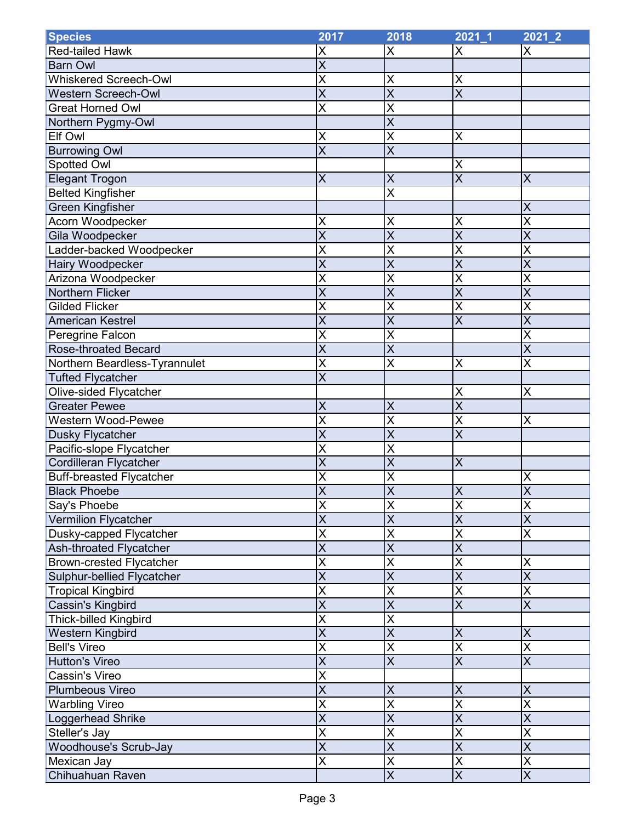| <b>Species</b>                  | 2017                    | 2018                         | $2021 - 1$                   | $2021 - 2$                   |
|---------------------------------|-------------------------|------------------------------|------------------------------|------------------------------|
| <b>Red-tailed Hawk</b>          | X                       | X                            | X                            | X                            |
| <b>Barn Owl</b>                 | $\overline{X}$          |                              |                              |                              |
| <b>Whiskered Screech-Owl</b>    | $\overline{\mathsf{x}}$ | X                            | X                            |                              |
| <b>Western Screech-Owl</b>      | $\overline{\mathsf{x}}$ | $\overline{\mathsf{x}}$      | $\overline{\mathsf{x}}$      |                              |
| <b>Great Horned Owl</b>         | $\overline{\mathsf{x}}$ | X                            |                              |                              |
| Northern Pygmy-Owl              |                         | $\overline{\mathsf{x}}$      |                              |                              |
| Elf Owl                         | X                       | X                            | $\sf X$                      |                              |
| <b>Burrowing Owl</b>            | $\overline{\mathsf{X}}$ | $\overline{\mathsf{x}}$      |                              |                              |
| Spotted Owl                     |                         |                              | X                            |                              |
| <b>Elegant Trogon</b>           | $\sf X$                 | X                            | $\overline{X}$               | X                            |
| <b>Belted Kingfisher</b>        |                         | $\overline{\mathsf{x}}$      |                              |                              |
| <b>Green Kingfisher</b>         |                         |                              |                              | $\pmb{\mathsf{X}}$           |
| Acorn Woodpecker                | X                       | X                            | X                            | $\overline{\mathsf{x}}$      |
| Gila Woodpecker                 | $\overline{\mathsf{x}}$ | $\overline{\mathsf{x}}$      | $\overline{\mathsf{X}}$      | $\overline{\mathsf{x}}$      |
| Ladder-backed Woodpecker        | $\overline{\mathsf{x}}$ | X                            | X                            | $\overline{\mathsf{x}}$      |
| Hairy Woodpecker                | $\overline{\mathsf{x}}$ | $\overline{\mathsf{x}}$      | $\overline{\mathsf{X}}$      | $\overline{\mathsf{x}}$      |
| Arizona Woodpecker              | X                       | X                            | X                            | X                            |
| Northern Flicker                | $\overline{X}$          | X                            | $\sf X$                      | $\overline{\mathsf{X}}$      |
| <b>Gilded Flicker</b>           | $\overline{\mathsf{x}}$ | $\overline{\mathsf{x}}$      | $\overline{\mathsf{x}}$      | $\overline{\mathsf{x}}$      |
| <b>American Kestrel</b>         | $\overline{\mathsf{x}}$ | $\overline{\mathsf{x}}$      | $\overline{\mathsf{x}}$      | $\overline{\mathsf{x}}$      |
| Peregrine Falcon                | $\overline{\mathsf{x}}$ | X                            |                              | $\overline{\mathsf{x}}$      |
| <b>Rose-throated Becard</b>     | $\overline{\mathsf{x}}$ | X                            |                              | $\overline{\mathsf{X}}$      |
| Northern Beardless-Tyrannulet   | $\overline{\mathsf{X}}$ | X                            | $\sf X$                      | $\overline{\mathsf{x}}$      |
| <b>Tufted Flycatcher</b>        | $\overline{\mathsf{x}}$ |                              |                              |                              |
| Olive-sided Flycatcher          |                         |                              |                              | $\pmb{\mathsf{X}}$           |
| <b>Greater Pewee</b>            | $\sf X$                 | X                            | X<br>$\overline{\mathsf{X}}$ |                              |
| <b>Western Wood-Pewee</b>       | $\overline{\mathsf{x}}$ | X                            | $\overline{\mathsf{x}}$      | X                            |
|                                 | $\overline{\mathsf{x}}$ | $\overline{\mathsf{x}}$      | $\overline{\mathsf{x}}$      |                              |
| <b>Dusky Flycatcher</b>         | X                       | X                            |                              |                              |
| Pacific-slope Flycatcher        | $\overline{X}$          | X                            | $\sf X$                      |                              |
| Cordilleran Flycatcher          | $\overline{\mathsf{x}}$ |                              |                              |                              |
| <b>Buff-breasted Flycatcher</b> | $\overline{\mathsf{x}}$ | X<br>$\overline{\mathsf{x}}$ |                              | X<br>$\overline{\mathsf{x}}$ |
| <b>Black Phoebe</b>             |                         |                              | $\sf X$                      |                              |
| Say's Phoebe                    | $\sf X$                 | X                            | $\pmb{\mathsf{X}}$           | $\sf X$                      |
| <b>Vermilion Flycatcher</b>     | $\overline{\mathsf{x}}$ | $\overline{\mathsf{x}}$      | $\overline{X}$               | $\overline{\mathsf{X}}$      |
| Dusky-capped Flycatcher         | $\overline{\mathsf{X}}$ | $\overline{\mathsf{x}}$      | $\overline{\mathsf{X}}$      | $\overline{\mathsf{x}}$      |
| Ash-throated Flycatcher         | $\overline{\mathsf{x}}$ | $\overline{\mathsf{x}}$      | $\overline{\mathsf{x}}$      |                              |
| <b>Brown-crested Flycatcher</b> | $\overline{\mathsf{X}}$ | $\overline{\mathsf{x}}$      | $\overline{\mathsf{X}}$      | X                            |
| Sulphur-bellied Flycatcher      | $\overline{\mathsf{x}}$ | $\overline{\mathsf{x}}$      | $\overline{\mathsf{x}}$      | $\overline{\mathsf{x}}$      |
| <b>Tropical Kingbird</b>        | $\overline{\mathsf{X}}$ | $\overline{\mathsf{x}}$      | $\overline{\mathsf{X}}$      | $\overline{\mathsf{x}}$      |
| Cassin's Kingbird               | $\overline{\mathsf{x}}$ | $\overline{\mathsf{x}}$      | $\overline{\mathsf{x}}$      | $\overline{\mathsf{X}}$      |
| Thick-billed Kingbird           | $\overline{\mathsf{X}}$ | X                            |                              |                              |
| Western Kingbird                | $\overline{\mathsf{x}}$ | $\overline{\mathsf{x}}$      | $\pmb{\mathsf{X}}$           | $\overline{\mathsf{X}}$      |
| <b>Bell's Vireo</b>             | $\overline{\mathsf{x}}$ | $\overline{\mathsf{x}}$      | $\overline{\mathsf{x}}$      | $\overline{\mathsf{x}}$      |
| <b>Hutton's Vireo</b>           | $\overline{\mathsf{x}}$ | $\overline{\sf x}$           | $\overline{\mathsf{x}}$      | $\overline{\mathsf{x}}$      |
| <b>Cassin's Vireo</b>           | $\overline{\mathsf{x}}$ |                              |                              |                              |
| Plumbeous Vireo                 | $\overline{\mathsf{X}}$ | X                            | $\sf X$                      | $\overline{\mathsf{X}}$      |
| <b>Warbling Vireo</b>           | $\overline{\mathsf{x}}$ | X                            | X                            | $\overline{\mathsf{X}}$      |
| Loggerhead Shrike               | $\overline{\mathsf{x}}$ | $\overline{\mathsf{x}}$      | $\overline{X}$               | $\overline{\mathsf{x}}$      |
| Steller's Jay                   | $\overline{\mathsf{x}}$ | X                            | $\sf X$                      | $\overline{\mathsf{X}}$      |
| <b>Woodhouse's Scrub-Jay</b>    | $\overline{\mathsf{X}}$ | $\overline{\mathsf{X}}$      | $\overline{X}$               | $\overline{\mathsf{X}}$      |
| Mexican Jay                     | $\overline{\mathsf{X}}$ | $\overline{\mathsf{x}}$      | $\overline{\mathsf{X}}$      | $\overline{\mathsf{X}}$      |
| Chihuahuan Raven                |                         | $\overline{\mathsf{x}}$      | $\overline{\mathsf{X}}$      | $\overline{\mathsf{X}}$      |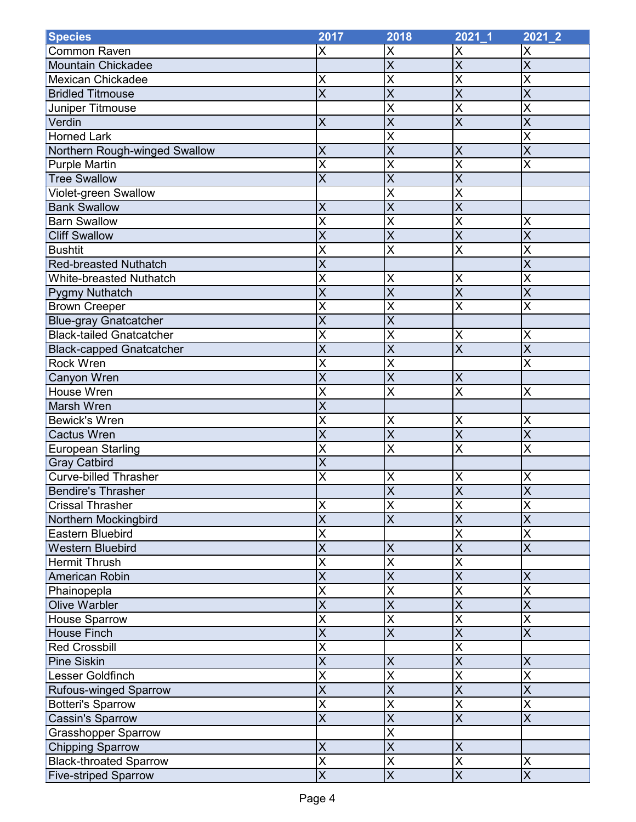| <b>Species</b>                  | 2017                    | 2018                    | $2021 - 1$              | $2021 - 2$              |
|---------------------------------|-------------------------|-------------------------|-------------------------|-------------------------|
| <b>Common Raven</b>             | X                       | X                       | X                       | X                       |
| <b>Mountain Chickadee</b>       |                         | $\overline{\mathsf{x}}$ | $\overline{X}$          | $\overline{\mathsf{x}}$ |
| <b>Mexican Chickadee</b>        | X                       | X                       | X                       | $\overline{\mathsf{x}}$ |
| <b>Bridled Titmouse</b>         | $\overline{\mathsf{x}}$ | $\overline{\mathsf{x}}$ | $\overline{\mathsf{X}}$ | $\overline{\mathsf{X}}$ |
| Juniper Titmouse                |                         | $\overline{\mathsf{x}}$ | $\overline{\mathsf{x}}$ | $\overline{\mathsf{x}}$ |
| Verdin                          | $\overline{X}$          | $\overline{\mathsf{x}}$ | $\overline{\mathsf{x}}$ | $\overline{\mathsf{X}}$ |
| <b>Horned Lark</b>              |                         | X                       |                         | $\overline{\mathsf{x}}$ |
| Northern Rough-winged Swallow   | $\sf X$                 | X                       | $\sf X$                 | $\overline{\mathsf{x}}$ |
| <b>Purple Martin</b>            | $\overline{\mathsf{X}}$ | X                       | X                       | $\overline{\mathsf{x}}$ |
| <b>Tree Swallow</b>             | $\overline{\mathsf{x}}$ | $\overline{\mathsf{x}}$ | $\overline{\mathsf{x}}$ |                         |
| Violet-green Swallow            |                         | X                       | $\overline{\mathsf{x}}$ |                         |
| <b>Bank Swallow</b>             | $\sf X$                 | X                       | $\overline{\mathsf{X}}$ |                         |
| <b>Barn Swallow</b>             | $\overline{\mathsf{x}}$ | $\overline{\mathsf{x}}$ | $\overline{\mathsf{x}}$ | X                       |
| <b>Cliff Swallow</b>            | $\overline{\mathsf{x}}$ | $\overline{\mathsf{x}}$ | $\overline{\mathsf{x}}$ | $\overline{\mathsf{x}}$ |
| <b>Bushtit</b>                  | X                       | X                       | $\overline{\mathsf{X}}$ | $\overline{\mathsf{x}}$ |
| <b>Red-breasted Nuthatch</b>    | $\overline{\mathsf{x}}$ |                         |                         | $\overline{\mathsf{x}}$ |
| <b>White-breasted Nuthatch</b>  | $\overline{\mathsf{x}}$ | X                       | $\pmb{\mathsf{X}}$      | $\overline{\mathsf{x}}$ |
| <b>Pygmy Nuthatch</b>           | $\overline{\mathsf{x}}$ | $\overline{\mathsf{X}}$ | $\overline{X}$          | $\overline{\mathsf{x}}$ |
| <b>Brown Creeper</b>            | $\overline{\mathsf{x}}$ | $\overline{\mathsf{x}}$ | $\overline{\mathsf{x}}$ | $\overline{\mathsf{x}}$ |
| <b>Blue-gray Gnatcatcher</b>    | $\overline{\mathsf{x}}$ | $\overline{\mathsf{x}}$ |                         |                         |
| <b>Black-tailed Gnatcatcher</b> | $\overline{\mathsf{x}}$ | $\overline{\mathsf{x}}$ | $\pmb{\mathsf{X}}$      | $\overline{\mathsf{X}}$ |
| <b>Black-capped Gnatcatcher</b> | $\overline{\mathsf{X}}$ | $\overline{\mathsf{x}}$ | $\overline{\mathsf{x}}$ | $\overline{\mathsf{x}}$ |
| Rock Wren                       | $\overline{\mathsf{x}}$ | X                       |                         | X                       |
| Canyon Wren                     | $\overline{\mathsf{x}}$ | $\overline{\mathsf{x}}$ | $\sf X$                 |                         |
| House Wren                      | X                       | X                       | $\overline{X}$          | X                       |
| Marsh Wren                      | $\overline{\mathsf{x}}$ |                         |                         |                         |
| <b>Bewick's Wren</b>            | $\overline{\mathsf{x}}$ | X                       | X                       | X                       |
| <b>Cactus Wren</b>              | $\overline{\mathsf{x}}$ | $\overline{\mathsf{x}}$ | $\overline{\mathsf{x}}$ | $\overline{\mathsf{x}}$ |
| <b>European Starling</b>        | $\overline{\mathsf{x}}$ | $\overline{\mathsf{x}}$ | $\overline{\mathsf{x}}$ | $\overline{\mathsf{x}}$ |
| <b>Gray Catbird</b>             | $\overline{\mathsf{x}}$ |                         |                         |                         |
| <b>Curve-billed Thrasher</b>    | $\overline{\mathsf{X}}$ | X                       | X                       | $\sf X$                 |
| <b>Bendire's Thrasher</b>       |                         | $\overline{\mathsf{x}}$ | $\overline{\mathsf{x}}$ | $\overline{\mathsf{x}}$ |
| <b>Crissal Thrasher</b>         | $\sf X$                 | X                       | X                       | X                       |
| Northern Mockingbird            | $\overline{\mathsf{X}}$ | $\overline{\mathsf{x}}$ | $\overline{X}$          | $\overline{\mathsf{X}}$ |
| <b>Eastern Bluebird</b>         | $\overline{\mathsf{x}}$ |                         | X                       | $\overline{\mathsf{x}}$ |
| <b>Western Bluebird</b>         | $\overline{\mathsf{x}}$ | X                       | $\overline{X}$          | $\overline{\mathsf{X}}$ |
| <b>Hermit Thrush</b>            | $\overline{\mathsf{x}}$ | $\overline{\mathsf{x}}$ | $\overline{\mathsf{x}}$ |                         |
| American Robin                  | $\overline{\mathsf{x}}$ | $\overline{\mathsf{x}}$ | $\overline{\mathsf{x}}$ | $\overline{\mathsf{X}}$ |
| Phainopepla                     | $\overline{\mathsf{x}}$ | X                       | X                       | $\overline{\mathsf{X}}$ |
| <b>Olive Warbler</b>            | $\overline{\mathsf{X}}$ | $\overline{\mathsf{x}}$ | $\overline{\mathsf{x}}$ | $\overline{\mathsf{X}}$ |
| House Sparrow                   | $\overline{\mathsf{X}}$ | $\overline{\mathsf{x}}$ | X                       | $\overline{\mathsf{x}}$ |
| <b>House Finch</b>              | $\overline{\mathsf{x}}$ | $\overline{\mathsf{x}}$ | $\overline{\mathsf{x}}$ | $\overline{\mathsf{x}}$ |
| <b>Red Crossbill</b>            | $\sf X$                 |                         | X                       |                         |
| <b>Pine Siskin</b>              | $\overline{\mathsf{x}}$ | X                       | $\overline{X}$          | $\sf X$                 |
| Lesser Goldfinch                | $\overline{\mathsf{x}}$ | $\overline{\mathsf{x}}$ | $\overline{\mathsf{x}}$ | $\overline{\mathsf{x}}$ |
| <b>Rufous-winged Sparrow</b>    | $\overline{\mathsf{X}}$ | $\overline{\mathsf{x}}$ | $\overline{\mathsf{x}}$ | $\overline{\mathsf{x}}$ |
| <b>Botteri's Sparrow</b>        | $\overline{\mathsf{x}}$ | X                       | $\overline{\mathsf{X}}$ | $\overline{\mathsf{X}}$ |
| <b>Cassin's Sparrow</b>         | $\overline{\mathsf{x}}$ | $\overline{\mathsf{x}}$ | $\overline{X}$          | $\overline{\mathsf{X}}$ |
| Grasshopper Sparrow             |                         | $\overline{\mathsf{x}}$ |                         |                         |
| <b>Chipping Sparrow</b>         | $\overline{X}$          | $\overline{\mathsf{x}}$ | $\sf X$                 |                         |
| <b>Black-throated Sparrow</b>   | $\overline{\mathsf{x}}$ | X                       | $\overline{\mathsf{X}}$ | X                       |
| <b>Five-striped Sparrow</b>     | $\overline{\mathsf{X}}$ | $\overline{\mathsf{X}}$ | $\overline{\mathsf{X}}$ | $\overline{\mathsf{X}}$ |